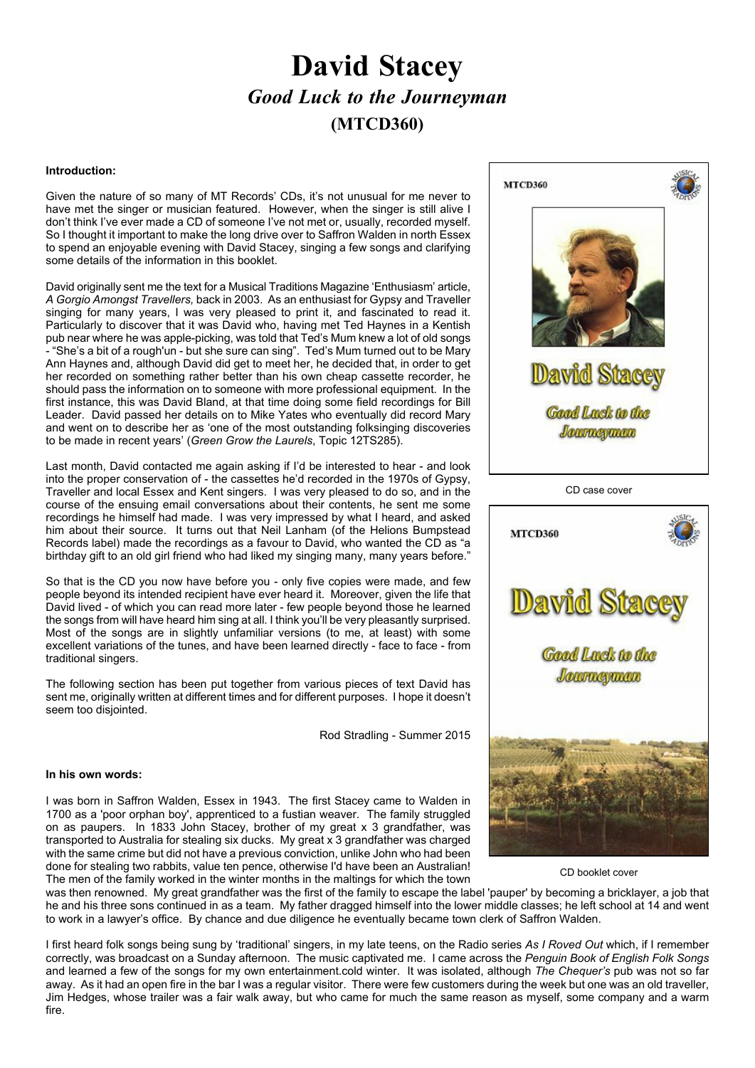# **David Stacey** *Good Luck to the Journeyman* **(MTCD360)**

# **Introduction:**

Given the nature of so many of MT Records' CDs, it's not unusual for me never to have met the singer or musician featured. However, when the singer is still alive I don't think I've ever made a CD of someone I've not met or, usually, recorded myself. So I thought it important to make the long drive over to Saffron Walden in north Essex to spend an enjoyable evening with David Stacey, singing a few songs and clarifying some details of the information in this booklet.

David originally sent me the text for a Musical Traditions Magazine 'Enthusiasm' article, *A Gorgio Amongst Travellers,* back in 2003. As an enthusiast for Gypsy and Traveller singing for many years, I was very pleased to print it, and fascinated to read it. Particularly to discover that it was David who, having met Ted Haynes in a Kentish pub near where he was apple-picking, was told that Ted's Mum knew a lot of old songs - "She's a bit of a rough'un - but she sure can sing". Ted's Mum turned out to be Mary Ann Haynes and, although David did get to meet her, he decided that, in order to get her recorded on something rather better than his own cheap cassette recorder, he should pass the information on to someone with more professional equipment. In the first instance, this was David Bland, at that time doing some field recordings for Bill Leader. David passed her details on to Mike Yates who eventually did record Mary and went on to describe her as 'one of the most outstanding folksinging discoveries to be made in recent years' (*Green Grow the Laurels*, Topic 12TS285).

Last month, David contacted me again asking if I'd be interested to hear - and look into the proper conservation of - the cassettes he'd recorded in the 1970s of Gypsy, Traveller and local Essex and Kent singers. I was very pleased to do so, and in the course of the ensuing email conversations about their contents, he sent me some recordings he himself had made. I was very impressed by what I heard, and asked him about their source. It turns out that Neil Lanham (of the Helions Bumpstead Records label) made the recordings as a favour to David, who wanted the CD as "a birthday gift to an old girl friend who had liked my singing many, many years before."

So that is the CD you now have before you - only five copies were made, and few people beyond its intended recipient have ever heard it. Moreover, given the life that David lived - of which you can read more later - few people beyond those he learned the songs from will have heard him sing at all. I think you'll be very pleasantly surprised. Most of the songs are in slightly unfamiliar versions (to me, at least) with some excellent variations of the tunes, and have been learned directly - face to face - from traditional singers.

The following section has been put together from various pieces of text David has sent me, originally written at different times and for different purposes. I hope it doesn't seem too disjointed.

Rod Stradling - Summer 2015

#### **In his own words:**

I was born in Saffron Walden, Essex in 1943. The first Stacey came to Walden in 1700 as a 'poor orphan boy', apprenticed to a fustian weaver. The family struggled on as paupers. In 1833 John Stacey, brother of my great x 3 grandfather, was transported to Australia for stealing six ducks. My great x 3 grandfather was charged with the same crime but did not have a previous conviction, unlike John who had been done for stealing two rabbits, value ten pence, otherwise I'd have been an Australian! The men of the family worked in the winter months in the maltings for which the town





CD booklet cover

was then renowned. My great grandfather was the first of the family to escape the label 'pauper' by becoming a bricklayer, a job that he and his three sons continued in as a team. My father dragged himself into the lower middle classes; he left school at 14 and went to work in a lawyer's office. By chance and due diligence he eventually became town clerk of Saffron Walden.

I first heard folk songs being sung by 'traditional' singers, in my late teens, on the Radio series *As I Roved Out* which, if I remember correctly, was broadcast on a Sunday afternoon. The music captivated me. I came across the *Penguin Book of English Folk Songs* and learned a few of the songs for my own entertainment.cold winter. It was isolated, although *The Chequer's* pub was not so far away. As it had an open fire in the bar I was a regular visitor. There were few customers during the week but one was an old traveller, Jim Hedges, whose trailer was a fair walk away, but who came for much the same reason as myself, some company and a warm fire.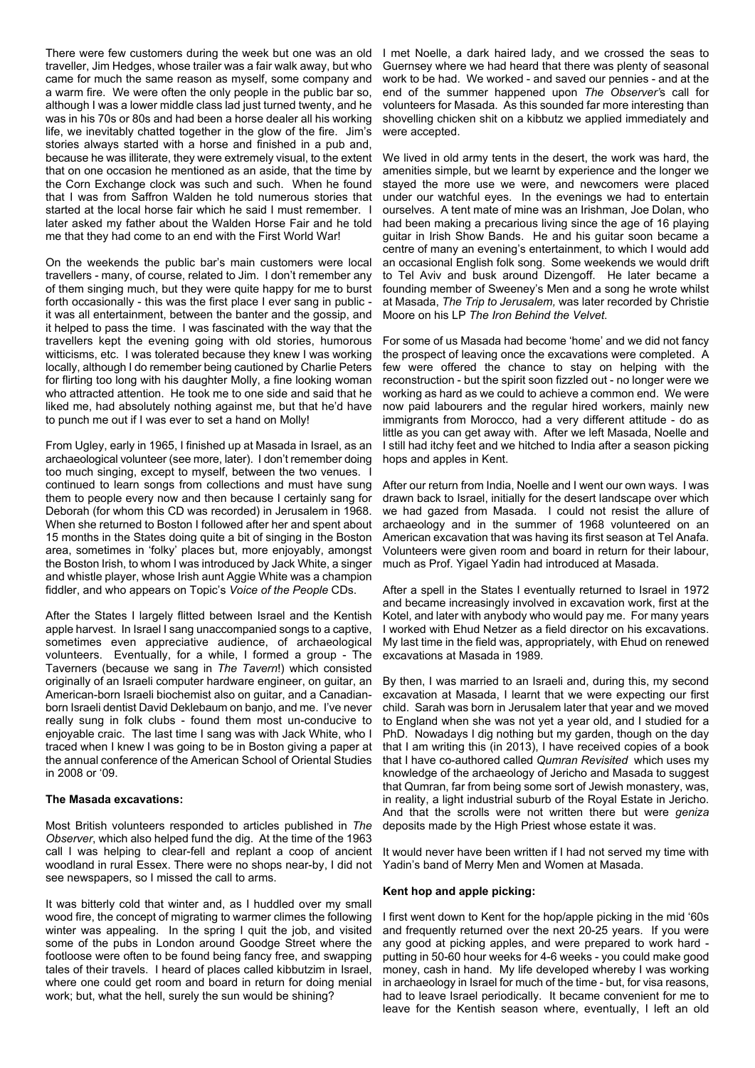There were few customers during the week but one was an old I met Noelle, a dark haired lady, and we crossed the seas to traveller, Jim Hedges, whose trailer was a fair walk away, but who came for much the same reason as myself, some company and a warm fire. We were often the only people in the public bar so, although I was a lower middle class lad just turned twenty, and he was in his 70s or 80s and had been a horse dealer all his working life, we inevitably chatted together in the glow of the fire. Jim's stories always started with a horse and finished in a pub and, because he was illiterate, they were extremely visual, to the extent that on one occasion he mentioned as an aside, that the time by the Corn Exchange clock was such and such. When he found that I was from Saffron Walden he told numerous stories that started at the local horse fair which he said I must remember. I later asked my father about the Walden Horse Fair and he told me that they had come to an end with the First World War!

On the weekends the public bar's main customers were local travellers - many, of course, related to Jim. I don't remember any of them singing much, but they were quite happy for me to burst forth occasionally - this was the first place I ever sang in public it was all entertainment, between the banter and the gossip, and it helped to pass the time. I was fascinated with the way that the travellers kept the evening going with old stories, humorous witticisms, etc. I was tolerated because they knew I was working locally, although I do remember being cautioned by Charlie Peters for flirting too long with his daughter Molly, a fine looking woman who attracted attention. He took me to one side and said that he liked me, had absolutely nothing against me, but that he'd have to punch me out if I was ever to set a hand on Molly!

From Ugley, early in 1965, I finished up at Masada in Israel, as an archaeological volunteer (see more, later). I don't remember doing too much singing, except to myself, between the two venues. I continued to learn songs from collections and must have sung them to people every now and then because I certainly sang for Deborah (for whom this CD was recorded) in Jerusalem in 1968. When she returned to Boston I followed after her and spent about 15 months in the States doing quite a bit of singing in the Boston area, sometimes in 'folky' places but, more enjoyably, amongst the Boston Irish, to whom I was introduced by Jack White, a singer and whistle player, whose Irish aunt Aggie White was a champion fiddler, and who appears on Topic's *Voice of the People* CDs.

After the States I largely flitted between Israel and the Kentish apple harvest. In Israel I sang unaccompanied songs to a captive, sometimes even appreciative audience, of archaeological volunteers. Eventually, for a while, I formed a group - The Taverners (because we sang in *The Tavern*!) which consisted originally of an Israeli computer hardware engineer, on guitar, an American-born Israeli biochemist also on guitar, and a Canadianborn Israeli dentist David Deklebaum on banjo, and me. I've never really sung in folk clubs - found them most un-conducive to enjoyable craic. The last time I sang was with Jack White, who I traced when I knew I was going to be in Boston giving a paper at the annual conference of the American School of Oriental Studies in 2008 or '09.

#### **The Masada excavations:**

Most British volunteers responded to articles published in *The Observer*, which also helped fund the dig. At the time of the 1963 call I was helping to clear-fell and replant a coop of ancient woodland in rural Essex. There were no shops near-by, I did not see newspapers, so I missed the call to arms.

It was bitterly cold that winter and, as I huddled over my small wood fire, the concept of migrating to warmer climes the following winter was appealing. In the spring I quit the job, and visited some of the pubs in London around Goodge Street where the footloose were often to be found being fancy free, and swapping tales of their travels. I heard of places called kibbutzim in Israel, where one could get room and board in return for doing menial work; but, what the hell, surely the sun would be shining?

Guernsey where we had heard that there was plenty of seasonal work to be had. We worked - and saved our pennies - and at the end of the summer happened upon *The Observer'*s call for volunteers for Masada. As this sounded far more interesting than shovelling chicken shit on a kibbutz we applied immediately and were accepted.

We lived in old army tents in the desert, the work was hard, the amenities simple, but we learnt by experience and the longer we stayed the more use we were, and newcomers were placed under our watchful eyes. In the evenings we had to entertain ourselves. A tent mate of mine was an Irishman, Joe Dolan, who had been making a precarious living since the age of 16 playing guitar in Irish Show Bands. He and his guitar soon became a centre of many an evening's entertainment, to which I would add an occasional English folk song. Some weekends we would drift to Tel Aviv and busk around Dizengoff. He later became a founding member of Sweeney's Men and a song he wrote whilst at Masada, *The Trip to Jerusalem,* was later recorded by Christie Moore on his LP *The Iron Behind the Velvet*.

For some of us Masada had become 'home' and we did not fancy the prospect of leaving once the excavations were completed. A few were offered the chance to stay on helping with the reconstruction - but the spirit soon fizzled out - no longer were we working as hard as we could to achieve a common end. We were now paid labourers and the regular hired workers, mainly new immigrants from Morocco, had a very different attitude - do as little as you can get away with. After we left Masada, Noelle and I still had itchy feet and we hitched to India after a season picking hops and apples in Kent.

After our return from India, Noelle and I went our own ways. I was drawn back to Israel, initially for the desert landscape over which we had gazed from Masada. I could not resist the allure of archaeology and in the summer of 1968 volunteered on an American excavation that was having its first season at Tel Anafa. Volunteers were given room and board in return for their labour, much as Prof. Yigael Yadin had introduced at Masada.

After a spell in the States I eventually returned to Israel in 1972 and became increasingly involved in excavation work, first at the Kotel, and later with anybody who would pay me. For many years I worked with Ehud Netzer as a field director on his excavations. My last time in the field was, appropriately, with Ehud on renewed excavations at Masada in 1989.

By then, I was married to an Israeli and, during this, my second excavation at Masada, I learnt that we were expecting our first child. Sarah was born in Jerusalem later that year and we moved to England when she was not yet a year old, and I studied for a PhD. Nowadays I dig nothing but my garden, though on the day that I am writing this (in 2013), I have received copies of a book that I have co-authored called *Qumran Revisited* which uses my knowledge of the archaeology of Jericho and Masada to suggest that Qumran, far from being some sort of Jewish monastery, was, in reality, a light industrial suburb of the Royal Estate in Jericho. And that the scrolls were not written there but were *geniza* deposits made by the High Priest whose estate it was.

It would never have been written if I had not served my time with Yadin's band of Merry Men and Women at Masada.

#### **Kent hop and apple picking:**

I first went down to Kent for the hop/apple picking in the mid '60s and frequently returned over the next 20-25 years. If you were any good at picking apples, and were prepared to work hard putting in 50-60 hour weeks for 4-6 weeks - you could make good money, cash in hand. My life developed whereby I was working in archaeology in Israel for much of the time - but, for visa reasons, had to leave Israel periodically. It became convenient for me to leave for the Kentish season where, eventually, I left an old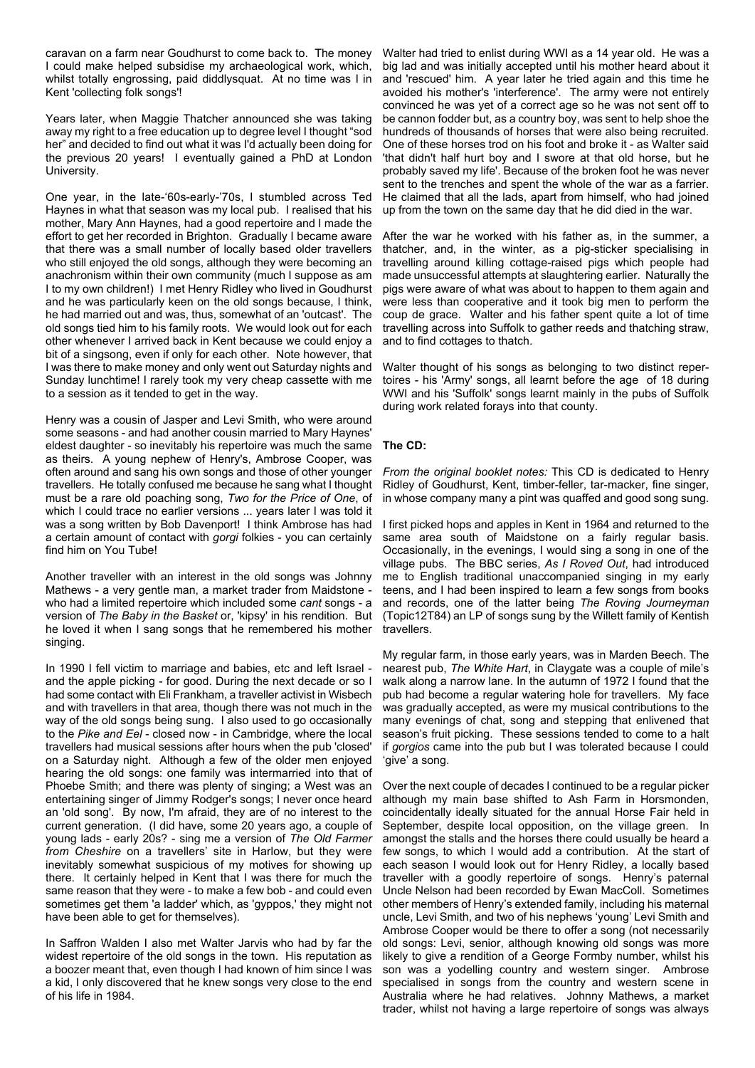caravan on a farm near Goudhurst to come back to. The money I could make helped subsidise my archaeological work, which, whilst totally engrossing, paid diddlysquat. At no time was I in Kent 'collecting folk songs'!

Years later, when Maggie Thatcher announced she was taking away my right to a free education up to degree level I thought "sod her" and decided to find out what it was I'd actually been doing for the previous 20 years! I eventually gained a PhD at London University.

One year, in the late-'60s-early-'70s, I stumbled across Ted Haynes in what that season was my local pub. I realised that his mother, Mary Ann Haynes, had a good repertoire and I made the effort to get her recorded in Brighton. Gradually I became aware that there was a small number of locally based older travellers who still enjoyed the old songs, although they were becoming an anachronism within their own community (much I suppose as am I to my own children!) I met Henry Ridley who lived in Goudhurst and he was particularly keen on the old songs because, I think, he had married out and was, thus, somewhat of an 'outcast'. The old songs tied him to his family roots. We would look out for each other whenever I arrived back in Kent because we could enjoy a bit of a singsong, even if only for each other. Note however, that I was there to make money and only went out Saturday nights and Sunday lunchtime! I rarely took my very cheap cassette with me to a session as it tended to get in the way.

Henry was a cousin of Jasper and Levi Smith, who were around some seasons - and had another cousin married to Mary Haynes' eldest daughter - so inevitably his repertoire was much the same as theirs. A young nephew of Henry's, Ambrose Cooper, was often around and sang his own songs and those of other younger travellers. He totally confused me because he sang what I thought must be a rare old poaching song, *Two for the Price of One*, of which I could trace no earlier versions ... years later I was told it was a song written by Bob Davenport! I think Ambrose has had a certain amount of contact with *gorgi* folkies - you can certainly find him on You Tube!

Another traveller with an interest in the old songs was Johnny Mathews - a very gentle man, a market trader from Maidstone who had a limited repertoire which included some *cant* songs - a version of *The Baby in the Basket* or, 'kipsy' in his rendition. But he loved it when I sang songs that he remembered his mother singing.

In 1990 I fell victim to marriage and babies, etc and left Israel and the apple picking - for good. During the next decade or so I had some contact with Eli Frankham, a traveller activist in Wisbech and with travellers in that area, though there was not much in the way of the old songs being sung. I also used to go occasionally to the *Pike and Eel* - closed now - in Cambridge, where the local travellers had musical sessions after hours when the pub 'closed' on a Saturday night. Although a few of the older men enjoyed hearing the old songs: one family was intermarried into that of Phoebe Smith; and there was plenty of singing; a West was an entertaining singer of Jimmy Rodger's songs; I never once heard an 'old song'. By now, I'm afraid, they are of no interest to the current generation. (I did have, some 20 years ago, a couple of young lads - early 20s? - sing me a version of *The Old Farmer from Cheshire* on a travellers' site in Harlow, but they were inevitably somewhat suspicious of my motives for showing up there. It certainly helped in Kent that I was there for much the same reason that they were - to make a few bob - and could even sometimes get them 'a ladder' which, as 'gyppos,' they might not have been able to get for themselves).

In Saffron Walden I also met Walter Jarvis who had by far the widest repertoire of the old songs in the town. His reputation as a boozer meant that, even though I had known of him since I was a kid. I only discovered that he knew songs very close to the end of his life in 1984.

Walter had tried to enlist during WWI as a 14 year old. He was a big lad and was initially accepted until his mother heard about it and 'rescued' him. A year later he tried again and this time he avoided his mother's 'interference'. The army were not entirely convinced he was yet of a correct age so he was not sent off to be cannon fodder but, as a country boy, was sent to help shoe the hundreds of thousands of horses that were also being recruited. One of these horses trod on his foot and broke it - as Walter said 'that didn't half hurt boy and I swore at that old horse, but he probably saved my life'. Because of the broken foot he was never sent to the trenches and spent the whole of the war as a farrier. He claimed that all the lads, apart from himself, who had joined up from the town on the same day that he did died in the war.

After the war he worked with his father as, in the summer, a thatcher, and, in the winter, as a pig-sticker specialising in travelling around killing cottage-raised pigs which people had made unsuccessful attempts at slaughtering earlier. Naturally the pigs were aware of what was about to happen to them again and were less than cooperative and it took big men to perform the coup de grace. Walter and his father spent quite a lot of time travelling across into Suffolk to gather reeds and thatching straw, and to find cottages to thatch.

Walter thought of his songs as belonging to two distinct repertoires - his 'Army' songs, all learnt before the age of 18 during WWI and his 'Suffolk' songs learnt mainly in the pubs of Suffolk during work related forays into that county.

#### **The CD:**

*From the original booklet notes:* This CD is dedicated to Henry Ridley of Goudhurst, Kent, timber-feller, tar-macker, fine singer, in whose company many a pint was quaffed and good song sung.

I first picked hops and apples in Kent in 1964 and returned to the same area south of Maidstone on a fairly regular basis. Occasionally, in the evenings, I would sing a song in one of the village pubs. The BBC series, *As I Roved Out*, had introduced me to English traditional unaccompanied singing in my early teens, and I had been inspired to learn a few songs from books and records, one of the latter being *The Roving Journeyman* (Topic12T84) an LP of songs sung by the Willett family of Kentish travellers.

My regular farm, in those early years, was in Marden Beech. The nearest pub, *The White Hart*, in Claygate was a couple of mile's walk along a narrow lane. In the autumn of 1972 I found that the pub had become a regular watering hole for travellers. My face was gradually accepted, as were my musical contributions to the many evenings of chat, song and stepping that enlivened that season's fruit picking. These sessions tended to come to a halt if *gorgios* came into the pub but I was tolerated because I could 'give' a song.

Over the next couple of decades I continued to be a regular picker although my main base shifted to Ash Farm in Horsmonden, coincidentally ideally situated for the annual Horse Fair held in September, despite local opposition, on the village green. In amongst the stalls and the horses there could usually be heard a few songs, to which I would add a contribution. At the start of each season I would look out for Henry Ridley, a locally based traveller with a goodly repertoire of songs. Henry's paternal Uncle Nelson had been recorded by Ewan MacColl. Sometimes other members of Henry's extended family, including his maternal uncle, Levi Smith, and two of his nephews 'young' Levi Smith and Ambrose Cooper would be there to offer a song (not necessarily old songs: Levi, senior, although knowing old songs was more likely to give a rendition of a George Formby number, whilst his son was a yodelling country and western singer. Ambrose specialised in songs from the country and western scene in Australia where he had relatives. Johnny Mathews, a market trader, whilst not having a large repertoire of songs was always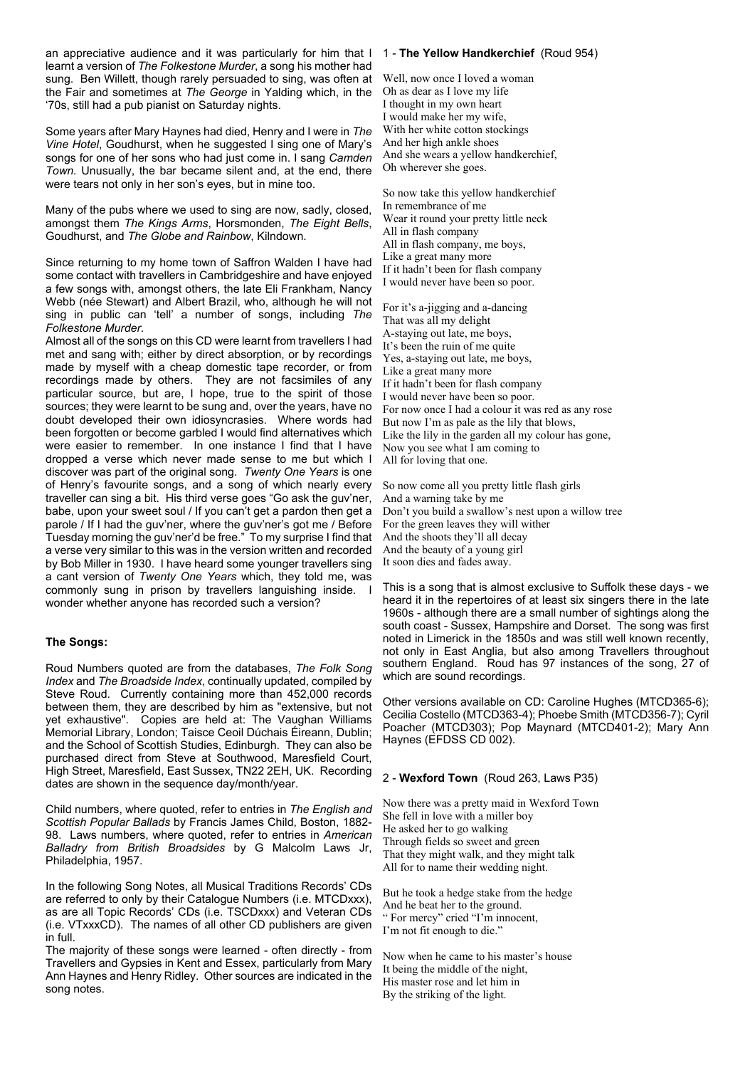an appreciative audience and it was particularly for him that I 1 - **The Yellow Handkerchief** (Roud 954) learnt a version of *The Folkestone Murder*, a song his mother had sung. Ben Willett, though rarely persuaded to sing, was often at the Fair and sometimes at *The George* in Yalding which, in the '70s, still had a pub pianist on Saturday nights.

Some years after Mary Haynes had died, Henry and I were in *The Vine Hotel*, Goudhurst, when he suggested I sing one of Mary's songs for one of her sons who had just come in. I sang *Camden Town.* Unusually, the bar became silent and, at the end, there were tears not only in her son's eyes, but in mine too.

Many of the pubs where we used to sing are now, sadly, closed, amongst them *The Kings Arms*, Horsmonden, *The Eight Bells*, Goudhurst, and *The Globe and Rainbow*, Kilndown.

Since returning to my home town of Saffron Walden I have had some contact with travellers in Cambridgeshire and have enjoyed a few songs with, amongst others, the late Eli Frankham, Nancy Webb (née Stewart) and Albert Brazil, who, although he will not sing in public can 'tell' a number of songs, including *The Folkestone Murder*.

Almost all of the songs on this CD were learnt from travellers I had met and sang with; either by direct absorption, or by recordings made by myself with a cheap domestic tape recorder, or from recordings made by others. They are not facsimiles of any particular source, but are, I hope, true to the spirit of those sources; they were learnt to be sung and, over the years, have no doubt developed their own idiosyncrasies. Where words had been forgotten or become garbled I would find alternatives which were easier to remember. In one instance I find that I have dropped a verse which never made sense to me but which I discover was part of the original song. *Twenty One Years* is one of Henry's favourite songs, and a song of which nearly every traveller can sing a bit. His third verse goes "Go ask the guv'ner, babe, upon your sweet soul / If you can't get a pardon then get a parole / If I had the guv'ner, where the guv'ner's got me / Before Tuesday morning the guv'ner'd be free." To my surprise I find that a verse very similar to this was in the version written and recorded by Bob Miller in 1930. I have heard some younger travellers sing a cant version of *Twenty One Years* which, they told me, was commonly sung in prison by travellers languishing inside. I wonder whether anyone has recorded such a version?

# **The Songs:**

Roud Numbers quoted are from the databases, *The Folk Song Index* and *The Broadside Index*, continually updated, compiled by Steve Roud. Currently containing more than 452,000 records between them, they are described by him as "extensive, but not yet exhaustive". Copies are held at: The Vaughan Williams Memorial Library, London; Taisce Ceoil Dúchais Éireann, Dublin; and the School of Scottish Studies, Edinburgh. They can also be purchased direct from Steve at Southwood, Maresfield Court, High Street, Maresfield, East Sussex, TN22 2EH, UK. Recording dates are shown in the sequence day/month/year.

Child numbers, where quoted, refer to entries in *The English and Scottish Popular Ballads* by Francis James Child, Boston, 1882- 98. Laws numbers, where quoted, refer to entries in *American Balladry from British Broadsides* by G Malcolm Laws Jr, Philadelphia, 1957.

In the following Song Notes, all Musical Traditions Records' CDs are referred to only by their Catalogue Numbers (i.e. MTCDxxx), as are all Topic Records' CDs (i.e. TSCDxxx) and Veteran CDs (i.e. VTxxxCD). The names of all other CD publishers are given in full.

The majority of these songs were learned - often directly - from Travellers and Gypsies in Kent and Essex, particularly from Mary Ann Haynes and Henry Ridley. Other sources are indicated in the song notes.

Well, now once I loved a woman Oh as dear as I love my life I thought in my own heart I would make her my wife, With her white cotton stockings And her high ankle shoes And she wears a yellow handkerchief, Oh wherever she goes.

So now take this yellow handkerchief In remembrance of me Wear it round your pretty little neck All in flash company All in flash company, me boys, Like a great many more If it hadn't been for flash company I would never have been so poor.

For it's a-jigging and a-dancing That was all my delight A-staying out late, me boys, It's been the ruin of me quite Yes, a-staying out late, me boys, Like a great many more If it hadn't been for flash company I would never have been so poor. For now once I had a colour it was red as any rose But now I'm as pale as the lily that blows, Like the lily in the garden all my colour has gone, Now you see what I am coming to All for loving that one.

So now come all you pretty little flash girls And a warning take by me Don't you build a swallow's nest upon a willow tree For the green leaves they will wither And the shoots they'll all decay And the beauty of a young girl It soon dies and fades away.

This is a song that is almost exclusive to Suffolk these days - we heard it in the repertoires of at least six singers there in the late 1960s - although there are a small number of sightings along the south coast - Sussex, Hampshire and Dorset. The song was first noted in Limerick in the 1850s and was still well known recently, not only in East Anglia, but also among Travellers throughout southern England. Roud has 97 instances of the song, 27 of which are sound recordings.

Other versions available on CD: Caroline Hughes (MTCD365-6); Cecilia Costello (MTCD363-4); Phoebe Smith (MTCD356-7); Cyril Poacher (MTCD303); Pop Maynard (MTCD401-2); Mary Ann Haynes (EFDSS CD 002).

#### 2 - **Wexford Town** (Roud 263, Laws P35)

Now there was a pretty maid in Wexford Town She fell in love with a miller boy He asked her to go walking Through fields so sweet and green That they might walk, and they might talk All for to name their wedding night.

But he took a hedge stake from the hedge And he beat her to the ground. " For mercy" cried "I'm innocent, I'm not fit enough to die."

Now when he came to his master's house It being the middle of the night, His master rose and let him in By the striking of the light.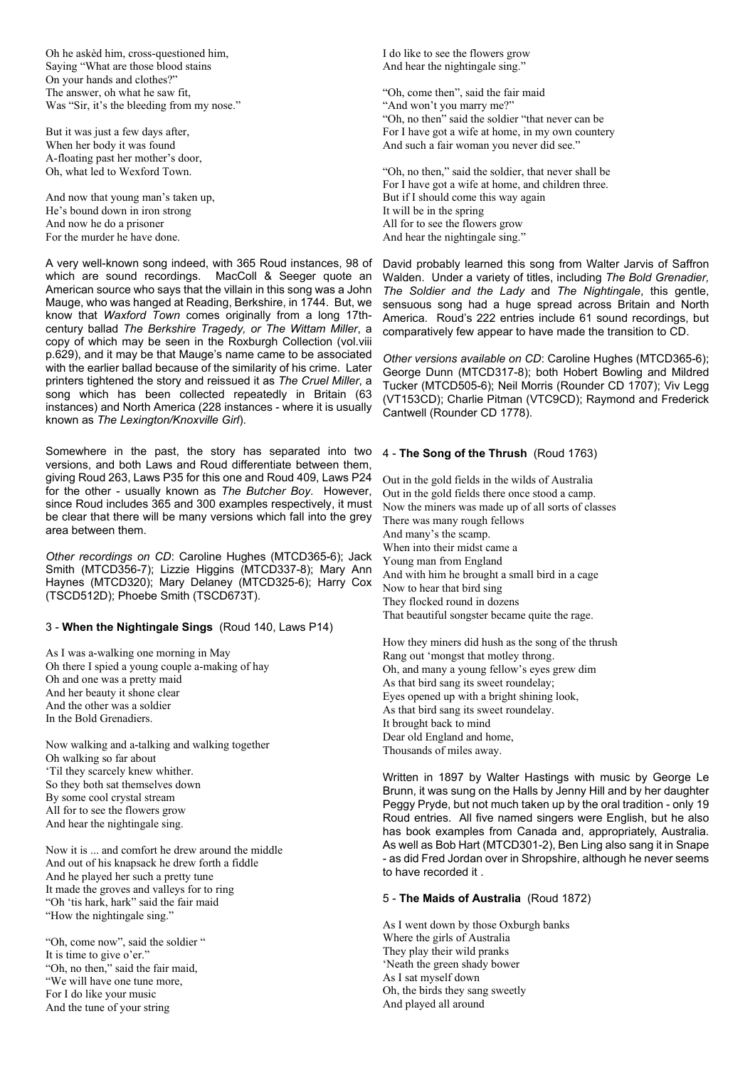Oh he askèd him, cross-questioned him, Saying "What are those blood stains On your hands and clothes?" The answer, oh what he saw fit, Was "Sir, it's the bleeding from my nose."

But it was just a few days after, When her body it was found A-floating past her mother's door, Oh, what led to Wexford Town.

And now that young man's taken up, He's bound down in iron strong And now he do a prisoner For the murder he have done.

A very well-known song indeed, with 365 Roud instances, 98 of which are sound recordings. MacColl & Seeger quote an American source who says that the villain in this song was a John Mauge, who was hanged at Reading, Berkshire, in 1744. But, we know that *Waxford Town* comes originally from a long 17thcentury ballad *The Berkshire Tragedy, or The Wittam Miller*, a copy of which may be seen in the Roxburgh Collection (vol.viii p.629), and it may be that Mauge's name came to be associated with the earlier ballad because of the similarity of his crime. Later printers tightened the story and reissued it as *The Cruel Miller*, a song which has been collected repeatedly in Britain (63 instances) and North America (228 instances - where it is usually known as *The Lexington/Knoxville Girl*).

Somewhere in the past, the story has separated into two versions, and both Laws and Roud differentiate between them, giving Roud 263, Laws P35 for this one and Roud 409, Laws P24 for the other - usually known as *The Butcher Boy*. However, since Roud includes 365 and 300 examples respectively, it must be clear that there will be many versions which fall into the grey area between them.

*Other recordings on CD*: Caroline Hughes (MTCD365-6); Jack Smith (MTCD356-7); Lizzie Higgins (MTCD337-8); Mary Ann Haynes (MTCD320); Mary Delaney (MTCD325-6); Harry Cox (TSCD512D); Phoebe Smith (TSCD673T).

#### 3 - **When the Nightingale Sings** (Roud 140, Laws P14)

As I was a-walking one morning in May Oh there I spied a young couple a-making of hay Oh and one was a pretty maid And her beauty it shone clear And the other was a soldier In the Bold Grenadiers.

Now walking and a-talking and walking together Oh walking so far about 'Til they scarcely knew whither. So they both sat themselves down By some cool crystal stream All for to see the flowers grow And hear the nightingale sing.

Now it is ... and comfort he drew around the middle And out of his knapsack he drew forth a fiddle And he played her such a pretty tune It made the groves and valleys for to ring "Oh 'tis hark, hark" said the fair maid "How the nightingale sing."

"Oh, come now", said the soldier " It is time to give o'er." "Oh, no then," said the fair maid, "We will have one tune more, For I do like your music And the tune of your string

I do like to see the flowers grow And hear the nightingale sing."

"Oh, come then", said the fair maid "And won't you marry me?" "Oh, no then" said the soldier "that never can be For I have got a wife at home, in my own countery And such a fair woman you never did see."

"Oh, no then," said the soldier, that never shall be For I have got a wife at home, and children three. But if I should come this way again It will be in the spring All for to see the flowers grow And hear the nightingale sing."

David probably learned this song from Walter Jarvis of Saffron Walden. Under a variety of titles, including *The Bold Grenadier, The Soldier and the Lady* and *The Nightingale*, this gentle, sensuous song had a huge spread across Britain and North America. Roud's 222 entries include 61 sound recordings, but comparatively few appear to have made the transition to CD.

*Other versions available on CD*: Caroline Hughes (MTCD365-6); George Dunn (MTCD317-8); both Hobert Bowling and Mildred Tucker (MTCD505-6); Neil Morris (Rounder CD 1707); Viv Legg (VT153CD); Charlie Pitman (VTC9CD); Raymond and Frederick Cantwell (Rounder CD 1778).

#### 4 - **The Song of the Thrush** (Roud 1763)

Out in the gold fields in the wilds of Australia Out in the gold fields there once stood a camp. Now the miners was made up of all sorts of classes There was many rough fellows And many's the scamp. When into their midst came a Young man from England And with him he brought a small bird in a cage Now to hear that bird sing They flocked round in dozens That beautiful songster became quite the rage.

How they miners did hush as the song of the thrush Rang out 'mongst that motley throng. Oh, and many a young fellow's eyes grew dim As that bird sang its sweet roundelay; Eyes opened up with a bright shining look, As that bird sang its sweet roundelay. It brought back to mind Dear old England and home, Thousands of miles away.

Written in 1897 by Walter Hastings with music by George Le Brunn, it was sung on the Halls by Jenny Hill and by her daughter Peggy Pryde, but not much taken up by the oral tradition - only 19 Roud entries. All five named singers were English, but he also has book examples from Canada and, appropriately, Australia. As well as Bob Hart (MTCD301-2), Ben Ling also sang it in Snape - as did Fred Jordan over in Shropshire, although he never seems to have recorded it .

# 5 - **The Maids of Australia** (Roud 1872)

As I went down by those Oxburgh banks Where the girls of Australia They play their wild pranks 'Neath the green shady bower As I sat myself down Oh, the birds they sang sweetly And played all around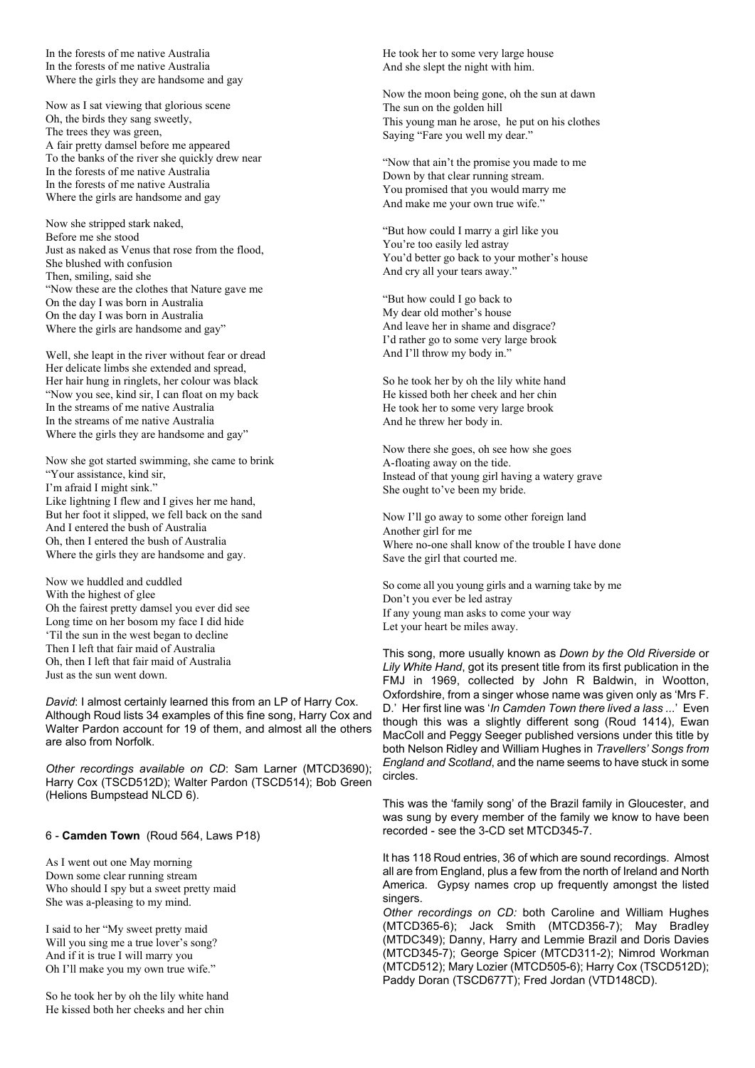In the forests of me native Australia In the forests of me native Australia Where the girls they are handsome and gay

Now as I sat viewing that glorious scene Oh, the birds they sang sweetly, The trees they was green, A fair pretty damsel before me appeared To the banks of the river she quickly drew near In the forests of me native Australia In the forests of me native Australia Where the girls are handsome and gay

Now she stripped stark naked, Before me she stood Just as naked as Venus that rose from the flood, She blushed with confusion Then, smiling, said she "Now these are the clothes that Nature gave me On the day I was born in Australia On the day I was born in Australia Where the girls are handsome and gay"

Well, she leapt in the river without fear or dread Her delicate limbs she extended and spread, Her hair hung in ringlets, her colour was black "Now you see, kind sir, I can float on my back In the streams of me native Australia In the streams of me native Australia Where the girls they are handsome and gay"

Now she got started swimming, she came to brink "Your assistance, kind sir, I'm afraid I might sink." Like lightning I flew and I gives her me hand, But her foot it slipped, we fell back on the sand And I entered the bush of Australia Oh, then I entered the bush of Australia Where the girls they are handsome and gay.

Now we huddled and cuddled With the highest of glee Oh the fairest pretty damsel you ever did see Long time on her bosom my face I did hide 'Til the sun in the west began to decline Then I left that fair maid of Australia Oh, then I left that fair maid of Australia Just as the sun went down.

*David*: I almost certainly learned this from an LP of Harry Cox. Although Roud lists 34 examples of this fine song, Harry Cox and Walter Pardon account for 19 of them, and almost all the others are also from Norfolk.

*Other recordings available on CD*: Sam Larner (MTCD3690); Harry Cox (TSCD512D); Walter Pardon (TSCD514); Bob Green (Helions Bumpstead NLCD 6).

#### 6 - **Camden Town** (Roud 564, Laws P18)

As I went out one May morning Down some clear running stream Who should I spy but a sweet pretty maid She was a-pleasing to my mind.

I said to her "My sweet pretty maid Will you sing me a true lover's song? And if it is true I will marry you Oh I'll make you my own true wife."

So he took her by oh the lily white hand He kissed both her cheeks and her chin

He took her to some very large house And she slept the night with him.

Now the moon being gone, oh the sun at dawn The sun on the golden hill This young man he arose, he put on his clothes Saying "Fare you well my dear."

"Now that ain't the promise you made to me Down by that clear running stream. You promised that you would marry me And make me your own true wife."

"But how could I marry a girl like you You're too easily led astray You'd better go back to your mother's house And cry all your tears away."

"But how could I go back to My dear old mother's house And leave her in shame and disgrace? I'd rather go to some very large brook And I'll throw my body in."

So he took her by oh the lily white hand He kissed both her cheek and her chin He took her to some very large brook And he threw her body in.

Now there she goes, oh see how she goes A-floating away on the tide. Instead of that young girl having a watery grave She ought to've been my bride.

Now I'll go away to some other foreign land Another girl for me Where no-one shall know of the trouble I have done Save the girl that courted me.

So come all you young girls and a warning take by me Don't you ever be led astray If any young man asks to come your way Let your heart be miles away.

This song, more usually known as *Down by the Old Riverside* or *Lily White Hand*, got its present title from its first publication in the FMJ in 1969, collected by John R Baldwin, in Wootton, Oxfordshire, from a singer whose name was given only as 'Mrs F. D.' Her first line was '*In Camden Town there lived a lass ...*' Even though this was a slightly different song (Roud 1414), Ewan MacColl and Peggy Seeger published versions under this title by both Nelson Ridley and William Hughes in *Travellers' Songs from England and Scotland*, and the name seems to have stuck in some circles.

This was the 'family song' of the Brazil family in Gloucester, and was sung by every member of the family we know to have been recorded - see the 3-CD set MTCD345-7.

It has 118 Roud entries, 36 of which are sound recordings. Almost all are from England, plus a few from the north of Ireland and North America. Gypsy names crop up frequently amongst the listed singers.

*Other recordings on CD:* both Caroline and William Hughes (MTCD365-6); Jack Smith (MTCD356-7); May Bradley (MTDC349); Danny, Harry and Lemmie Brazil and Doris Davies (MTCD345-7); George Spicer (MTCD311-2); Nimrod Workman (MTCD512); Mary Lozier (MTCD505-6); Harry Cox (TSCD512D); Paddy Doran (TSCD677T); Fred Jordan (VTD148CD).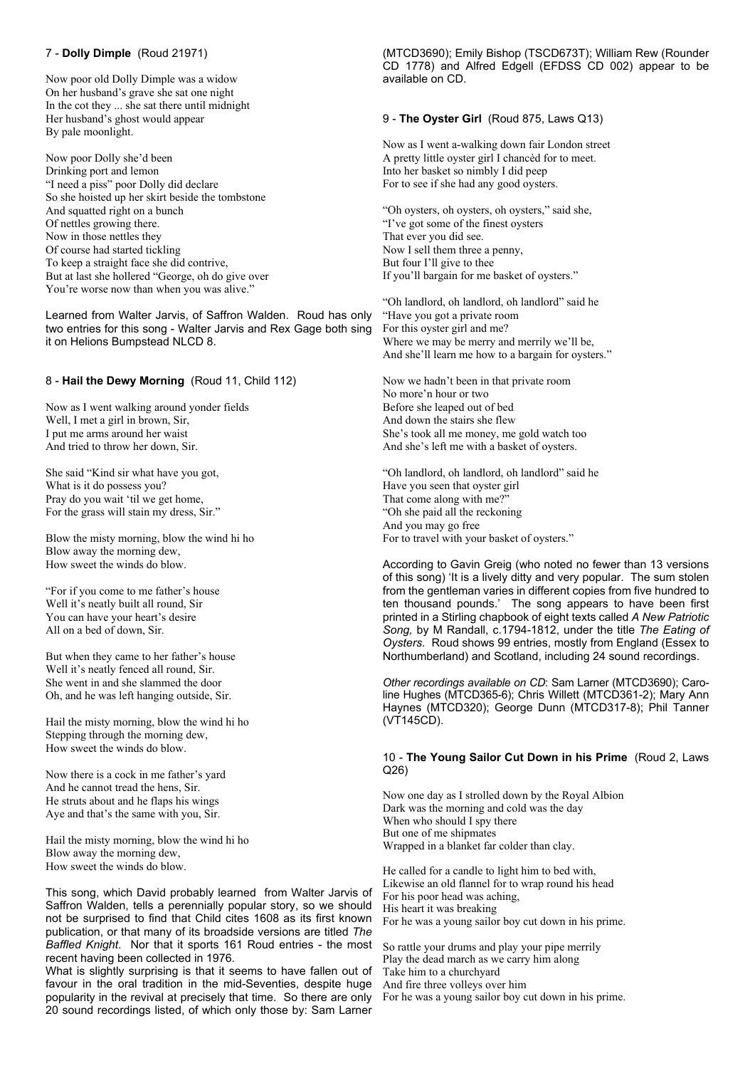# 7 - **Dolly Dimple** (Roud 21971)

Now poor old Dolly Dimple was a widow On her husband's grave she sat one night In the cot they ... she sat there until midnight Her husband's ghost would appear By pale moonlight.

Now poor Dolly she'd been Drinking port and lemon "I need a piss" poor Dolly did declare So she hoisted up her skirt beside the tombstone And squatted right on a bunch Of nettles growing there. Now in those nettles they Of course had started tickling To keep a straight face she did contrive, But at last she hollered "George, oh do give over You're worse now than when you was alive."

Learned from Walter Jarvis, of Saffron Walden. Roud has only two entries for this song - Walter Jarvis and Rex Gage both sing it on Helions Bumpstead NLCD 8.

# 8 - **Hail the Dewy Morning** (Roud 11, Child 112)

Now as I went walking around yonder fields Well, I met a girl in brown, Sir, I put me arms around her waist And tried to throw her down, Sir.

She said "Kind sir what have you got, What is it do possess you? Pray do you wait 'til we get home, For the grass will stain my dress, Sir."

Blow the misty morning, blow the wind hi ho Blow away the morning dew, How sweet the winds do blow.

"For if you come to me father's house Well it's neatly built all round, Sir You can have your heart's desire All on a bed of down, Sir.

But when they came to her father's house Well it's neatly fenced all round, Sir. She went in and she slammed the door Oh, and he was left hanging outside, Sir.

Hail the misty morning, blow the wind hi ho Stepping through the morning dew, How sweet the winds do blow.

Now there is a cock in me father's yard And he cannot tread the hens, Sir. He struts about and he flaps his wings Aye and that's the same with you, Sir.

Hail the misty morning, blow the wind hi ho Blow away the morning dew, How sweet the winds do blow.

This song, which David probably learned from Walter Jarvis of Saffron Walden, tells a perennially popular story, so we should not be surprised to find that Child cites 1608 as its first known publication, or that many of its broadside versions are titled *The Baffled Knight*. Nor that it sports 161 Roud entries - the most recent having been collected in 1976.

What is slightly surprising is that it seems to have fallen out of favour in the oral tradition in the mid-Seventies, despite huge popularity in the revival at precisely that time. So there are only 20 sound recordings listed, of which only those by: Sam Larner

(MTCD3690); Emily Bishop (TSCD673T); William Rew (Rounder CD 1778) and Alfred Edgell (EFDSS CD 002) appear to be available on CD.

# 9 - **The Oyster Girl** (Roud 875, Laws Q13)

Now as I went a-walking down fair London street A pretty little oyster girl I chancèd for to meet. Into her basket so nimbly I did peep For to see if she had any good oysters.

"Oh oysters, oh oysters, oh oysters," said she, "I've got some of the finest oysters That ever you did see. Now I sell them three a penny, But four I'll give to thee If you'll bargain for me basket of oysters."

"Oh landlord, oh landlord, oh landlord" said he "Have you got a private room For this oyster girl and me? Where we may be merry and merrily we'll be, And she'll learn me how to a bargain for oysters."

Now we hadn't been in that private room No more'n hour or two Before she leaped out of bed And down the stairs she flew She's took all me money, me gold watch too And she's left me with a basket of oysters.

"Oh landlord, oh landlord, oh landlord" said he Have you seen that oyster girl That come along with me?" "Oh she paid all the reckoning And you may go free For to travel with your basket of oysters."

According to Gavin Greig (who noted no fewer than 13 versions of this song) 'It is a lively ditty and very popular. The sum stolen from the gentleman varies in different copies from five hundred to ten thousand pounds.' The song appears to have been first printed in a Stirling chapbook of eight texts called *A New Patriotic Song,* by M Randall, c.1794-1812, under the title *The Eating of Oysters*. Roud shows 99 entries, mostly from England (Essex to Northumberland) and Scotland, including 24 sound recordings.

*Other recordings available on CD*: Sam Larner (MTCD3690); Caroline Hughes (MTCD365-6); Chris Willett (MTCD361-2); Mary Ann Haynes (MTCD320); George Dunn (MTCD317-8); Phil Tanner (VT145CD).

#### 10 - **The Young Sailor Cut Down in his Prime** (Roud 2, Laws Q26)

Now one day as I strolled down by the Royal Albion Dark was the morning and cold was the day When who should I spy there But one of me shipmates Wrapped in a blanket far colder than clay.

He called for a candle to light him to bed with, Likewise an old flannel for to wrap round his head For his poor head was aching, His heart it was breaking For he was a young sailor boy cut down in his prime.

So rattle your drums and play your pipe merrily Play the dead march as we carry him along Take him to a churchyard And fire three volleys over him For he was a young sailor boy cut down in his prime.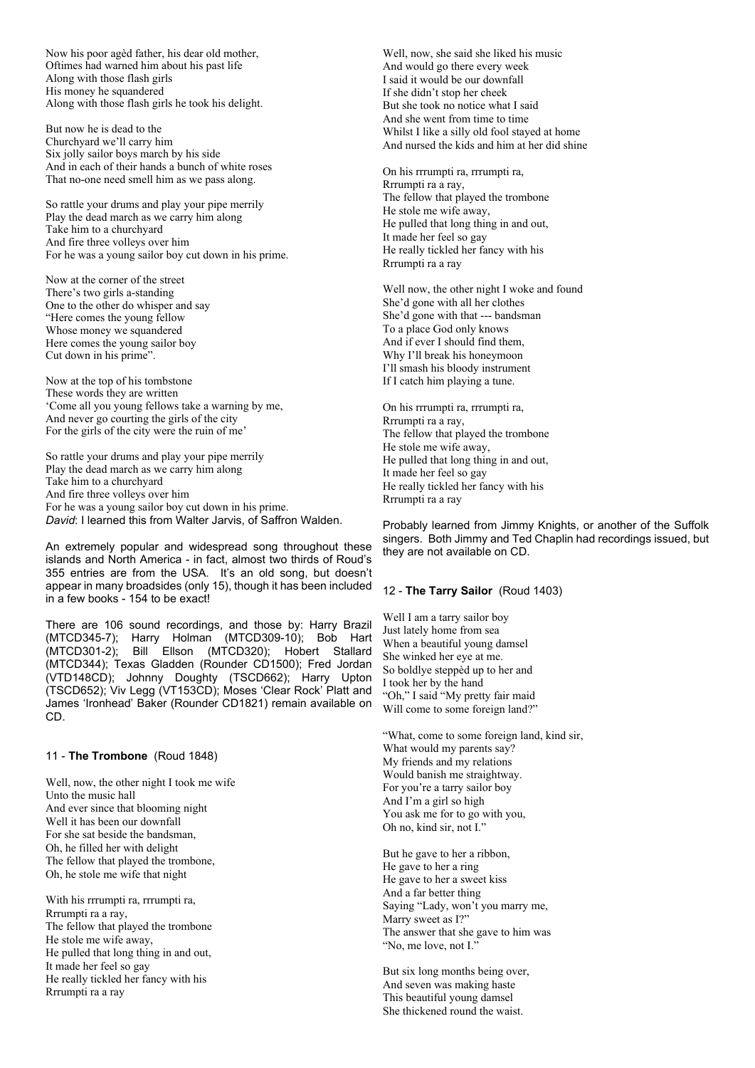Now his poor agèd father, his dear old mother, Oftimes had warned him about his past life Along with those flash girls His money he squandered Along with those flash girls he took his delight.

But now he is dead to the Churchyard we'll carry him Six jolly sailor boys march by his side And in each of their hands a bunch of white roses That no-one need smell him as we pass along.

So rattle your drums and play your pipe merrily Play the dead march as we carry him along Take him to a churchyard And fire three volleys over him For he was a young sailor boy cut down in his prime.

Now at the corner of the street There's two girls a-standing One to the other do whisper and say "Here comes the young fellow Whose money we squandered Here comes the young sailor boy Cut down in his prime".

Now at the top of his tombstone These words they are written 'Come all you young fellows take a warning by me, And never go courting the girls of the city For the girls of the city were the ruin of me'

So rattle your drums and play your pipe merrily Play the dead march as we carry him along Take him to a churchyard And fire three volleys over him For he was a young sailor boy cut down in his prime. *David*: I learned this from Walter Jarvis, of Saffron Walden.

An extremely popular and widespread song throughout these islands and North America - in fact, almost two thirds of Roud's 355 entries are from the USA. It's an old song, but doesn't appear in many broadsides (only 15), though it has been included in a few books - 154 to be exact!

There are 106 sound recordings, and those by: Harry Brazil (MTCD345-7); Harry Holman (MTCD309-10); Bob Hart (MTCD301-2); Bill Ellson (MTCD320); Hobert Stallard (MTCD344); Texas Gladden (Rounder CD1500); Fred Jordan (VTD148CD); Johnny Doughty (TSCD662); Harry Upton (TSCD652); Viv Legg (VT153CD); Moses 'Clear Rock' Platt and James 'Ironhead' Baker (Rounder CD1821) remain available on CD.

# 11 - **The Trombone** (Roud 1848)

Well, now, the other night I took me wife Unto the music hall And ever since that blooming night Well it has been our downfall For she sat beside the bandsman, Oh, he filled her with delight The fellow that played the trombone, Oh, he stole me wife that night

With his rrrumpti ra, rrrumpti ra, Rrrumpti ra a ray, The fellow that played the trombone He stole me wife away, He pulled that long thing in and out, It made her feel so gay He really tickled her fancy with his Rrrumpti ra a ray

Well, now, she said she liked his music And would go there every week I said it would be our downfall If she didn't stop her cheek But she took no notice what I said And she went from time to time Whilst I like a silly old fool stayed at home And nursed the kids and him at her did shine

On his rrrumpti ra, rrrumpti ra, Rrrumpti ra a ray, The fellow that played the trombone He stole me wife away, He pulled that long thing in and out, It made her feel so gay He really tickled her fancy with his Rrrumpti ra a ray

Well now, the other night I woke and found She'd gone with all her clothes She'd gone with that --- bandsman To a place God only knows And if ever I should find them, Why I'll break his honeymoon I'll smash his bloody instrument If I catch him playing a tune.

On his rrrumpti ra, rrrumpti ra, Rrrumpti ra a ray, The fellow that played the trombone He stole me wife away, He pulled that long thing in and out, It made her feel so gay He really tickled her fancy with his Rrrumpti ra a ray

Probably learned from Jimmy Knights, or another of the Suffolk singers. Both Jimmy and Ted Chaplin had recordings issued, but they are not available on CD.

# 12 - **The Tarry Sailor** (Roud 1403)

Well I am a tarry sailor boy Just lately home from sea When a beautiful young damsel She winked her eye at me. So boldlye steppèd up to her and I took her by the hand "Oh," I said "My pretty fair maid Will come to some foreign land?"

"What, come to some foreign land, kind sir, What would my parents say? My friends and my relations Would banish me straightway. For you're a tarry sailor boy And I'm a girl so high You ask me for to go with you, Oh no, kind sir, not I."

But he gave to her a ribbon, He gave to her a ring He gave to her a sweet kiss And a far better thing Saying "Lady, won't you marry me, Marry sweet as I?" The answer that she gave to him was "No, me love, not I."

But six long months being over, And seven was making haste This beautiful young damsel She thickened round the waist.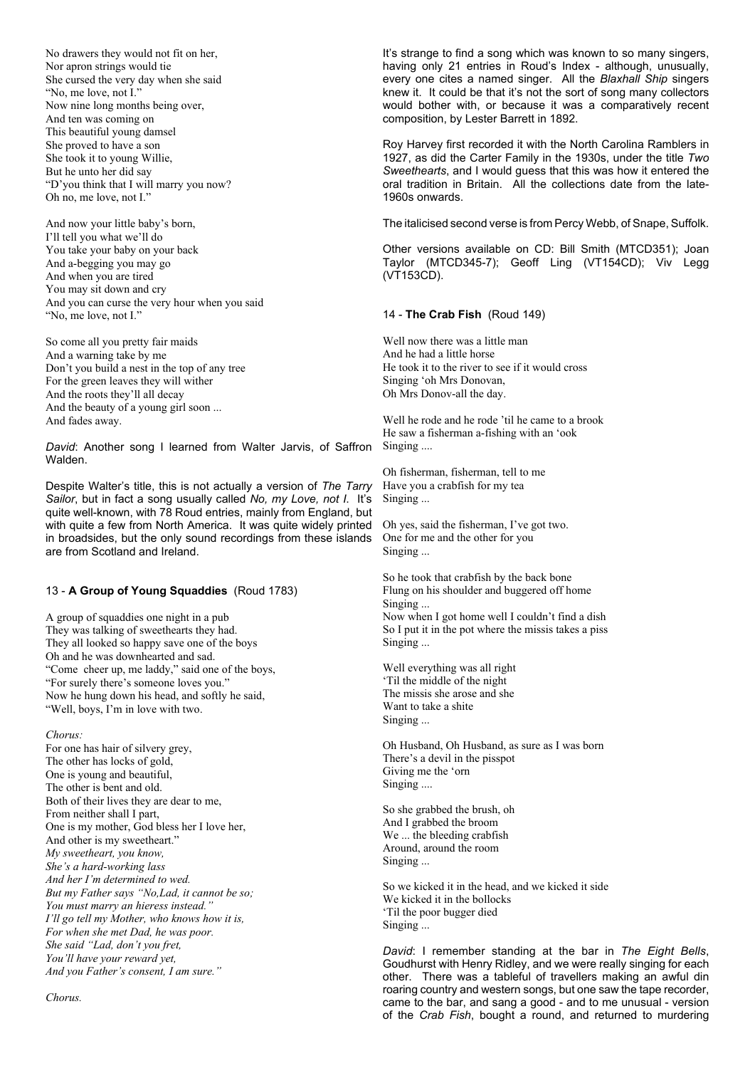No drawers they would not fit on her, Nor apron strings would tie She cursed the very day when she said "No, me love, not I." Now nine long months being over, And ten was coming on This beautiful young damsel She proved to have a son She took it to young Willie, But he unto her did say "D'you think that I will marry you now? Oh no, me love, not I."

And now your little baby's born, I'll tell you what we'll do You take your baby on your back And a-begging you may go And when you are tired You may sit down and cry And you can curse the very hour when you said "No, me love, not I."

So come all you pretty fair maids And a warning take by me Don't you build a nest in the top of any tree For the green leaves they will wither And the roots they'll all decay And the beauty of a young girl soon ... And fades away.

*David*: Another song I learned from Walter Jarvis, of Saffron Walden.

Despite Walter's title, this is not actually a version of *The Tarry Sailor*, but in fact a song usually called *No, my Love, not I*. It's quite well-known, with 78 Roud entries, mainly from England, but with quite a few from North America. It was quite widely printed in broadsides, but the only sound recordings from these islands are from Scotland and Ireland.

# 13 - **A Group of Young Squaddies** (Roud 1783)

A group of squaddies one night in a pub They was talking of sweethearts they had. They all looked so happy save one of the boys Oh and he was downhearted and sad. "Come cheer up, me laddy," said one of the boys, "For surely there's someone loves you." Now he hung down his head, and softly he said, "Well, boys, I'm in love with two.

#### *Chorus:*

For one has hair of silvery grey, The other has locks of gold, One is young and beautiful, The other is bent and old. Both of their lives they are dear to me, From neither shall I part, One is my mother, God bless her I love her, And other is my sweetheart." *My sweetheart, you know, She's a hard-working lass And her I'm determined to wed. But my Father says "No,Lad, it cannot be so; You must marry an hieress instead." I'll go tell my Mother, who knows how it is, For when she met Dad, he was poor. She said "Lad, don't you fret, You'll have your reward yet, And you Father's consent, I am sure."*

*Chorus.*

It's strange to find a song which was known to so many singers, having only 21 entries in Roud's Index - although, unusually, every one cites a named singer. All the *Blaxhall Ship* singers knew it. It could be that it's not the sort of song many collectors would bother with, or because it was a comparatively recent composition, by Lester Barrett in 1892.

Roy Harvey first recorded it with the North Carolina Ramblers in 1927, as did the Carter Family in the 1930s, under the title *Two Sweethearts*, and I would guess that this was how it entered the oral tradition in Britain. All the collections date from the late-1960s onwards.

The italicised second verse is from Percy Webb, of Snape, Suffolk.

Other versions available on CD: Bill Smith (MTCD351); Joan Taylor (MTCD345-7); Geoff Ling (VT154CD); Viv Legg (VT153CD).

#### 14 - **The Crab Fish** (Roud 149)

Well now there was a little man And he had a little horse He took it to the river to see if it would cross Singing 'oh Mrs Donovan, Oh Mrs Donov-all the day.

Well he rode and he rode 'til he came to a brook He saw a fisherman a-fishing with an 'ook Singing ....

Oh fisherman, fisherman, tell to me Have you a crabfish for my tea Singing ...

Oh yes, said the fisherman, I've got two. One for me and the other for you Singing ...

So he took that crabfish by the back bone Flung on his shoulder and buggered off home Singing ... Now when I got home well I couldn't find a dish So I put it in the pot where the missis takes a piss Singing ...

Well everything was all right 'Til the middle of the night The missis she arose and she Want to take a shite Singing ...

Oh Husband, Oh Husband, as sure as I was born There's a devil in the pisspot Giving me the 'orn Singing ....

So she grabbed the brush, oh And I grabbed the broom We ... the bleeding crabfish Around, around the room Singing ...

So we kicked it in the head, and we kicked it side We kicked it in the bollocks 'Til the poor bugger died Singing ...

*David*: I remember standing at the bar in *The Eight Bells*, Goudhurst with Henry Ridley, and we were really singing for each other. There was a tableful of travellers making an awful din roaring country and western songs, but one saw the tape recorder, came to the bar, and sang a good - and to me unusual - version of the *Crab Fish*, bought a round, and returned to murdering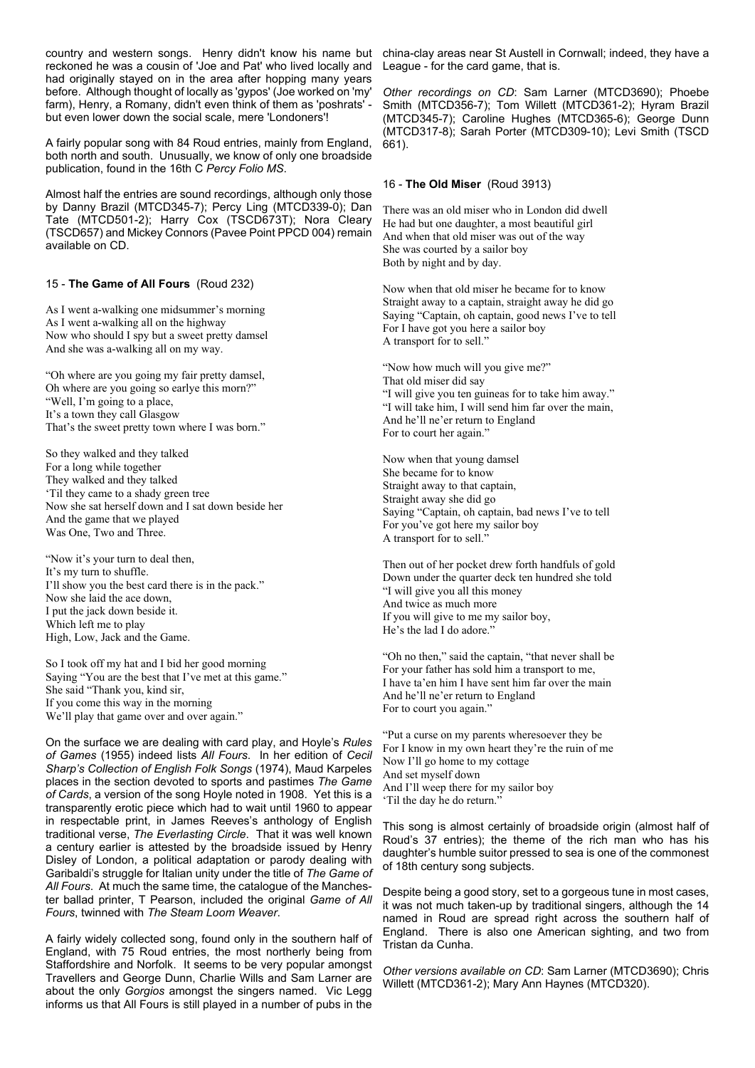country and western songs. Henry didn't know his name but reckoned he was a cousin of 'Joe and Pat' who lived locally and had originally stayed on in the area after hopping many years before. Although thought of locally as 'gypos' (Joe worked on 'my' farm), Henry, a Romany, didn't even think of them as 'poshrats' but even lower down the social scale, mere 'Londoners'!

A fairly popular song with 84 Roud entries, mainly from England, both north and south. Unusually, we know of only one broadside publication, found in the 16th C *Percy Folio MS*.

Almost half the entries are sound recordings, although only those by Danny Brazil (MTCD345-7); Percy Ling (MTCD339-0); Dan Tate (MTCD501-2); Harry Cox (TSCD673T); Nora Cleary (TSCD657) and Mickey Connors (Pavee Point PPCD 004) remain available on CD.

#### 15 - **The Game of All Fours** (Roud 232)

As I went a-walking one midsummer's morning As I went a-walking all on the highway Now who should I spy but a sweet pretty damsel And she was a-walking all on my way.

"Oh where are you going my fair pretty damsel, Oh where are you going so earlye this morn?" "Well, I'm going to a place, It's a town they call Glasgow That's the sweet pretty town where I was born."

So they walked and they talked For a long while together They walked and they talked 'Til they came to a shady green tree Now she sat herself down and I sat down beside her And the game that we played Was One, Two and Three.

"Now it's your turn to deal then, It's my turn to shuffle. I'll show you the best card there is in the pack." Now she laid the ace down, I put the jack down beside it. Which left me to play High, Low, Jack and the Game.

So I took off my hat and I bid her good morning Saying "You are the best that I've met at this game." She said "Thank you, kind sir, If you come this way in the morning We'll play that game over and over again."

On the surface we are dealing with card play, and Hoyle's *Rules of Games* (1955) indeed lists *All Fours*. In her edition of *Cecil Sharp's Collection of English Folk Songs* (1974), Maud Karpeles places in the section devoted to sports and pastimes *The Game of Cards*, a version of the song Hoyle noted in 1908. Yet this is a transparently erotic piece which had to wait until 1960 to appear in respectable print, in James Reeves's anthology of English traditional verse, *The Everlasting Circle*. That it was well known a century earlier is attested by the broadside issued by Henry Disley of London, a political adaptation or parody dealing with Garibaldi's struggle for Italian unity under the title of *The Game of All Fours*. At much the same time, the catalogue of the Manchester ballad printer, T Pearson, included the original *Game of All Fours*, twinned with *The Steam Loom Weaver*.

A fairly widely collected song, found only in the southern half of England, with 75 Roud entries, the most northerly being from Staffordshire and Norfolk. It seems to be very popular amongst Travellers and George Dunn, Charlie Wills and Sam Larner are about the only *Gorgios* amongst the singers named. Vic Legg informs us that All Fours is still played in a number of pubs in the

china-clay areas near St Austell in Cornwall; indeed, they have a League - for the card game, that is.

*Other recordings on CD*: Sam Larner (MTCD3690); Phoebe Smith (MTCD356-7); Tom Willett (MTCD361-2); Hyram Brazil (MTCD345-7); Caroline Hughes (MTCD365-6); George Dunn (MTCD317-8); Sarah Porter (MTCD309-10); Levi Smith (TSCD 661).

#### 16 - **The Old Miser** (Roud 3913)

There was an old miser who in London did dwell He had but one daughter, a most beautiful girl And when that old miser was out of the way She was courted by a sailor boy Both by night and by day.

Now when that old miser he became for to know Straight away to a captain, straight away he did go Saying "Captain, oh captain, good news I've to tell For I have got you here a sailor boy A transport for to sell."

"Now how much will you give me?" That old miser did say "I will give you ten guineas for to take him away." "I will take him, I will send him far over the main, And he'll ne'er return to England For to court her again."

Now when that young damsel She became for to know Straight away to that captain, Straight away she did go Saying "Captain, oh captain, bad news I've to tell For you've got here my sailor boy A transport for to sell."

Then out of her pocket drew forth handfuls of gold Down under the quarter deck ten hundred she told "I will give you all this money And twice as much more If you will give to me my sailor boy, He's the lad I do adore."

"Oh no then," said the captain, "that never shall be For your father has sold him a transport to me, I have ta'en him I have sent him far over the main And he'll ne'er return to England For to court you again.'

"Put a curse on my parents wheresoever they be For I know in my own heart they're the ruin of me Now I'll go home to my cottage And set myself down And I'll weep there for my sailor boy 'Til the day he do return."

This song is almost certainly of broadside origin (almost half of Roud's 37 entries); the theme of the rich man who has his daughter's humble suitor pressed to sea is one of the commonest of 18th century song subjects.

Despite being a good story, set to a gorgeous tune in most cases, it was not much taken-up by traditional singers, although the 14 named in Roud are spread right across the southern half of England. There is also one American sighting, and two from Tristan da Cunha.

*Other versions available on CD*: Sam Larner (MTCD3690); Chris Willett (MTCD361-2); Mary Ann Haynes (MTCD320).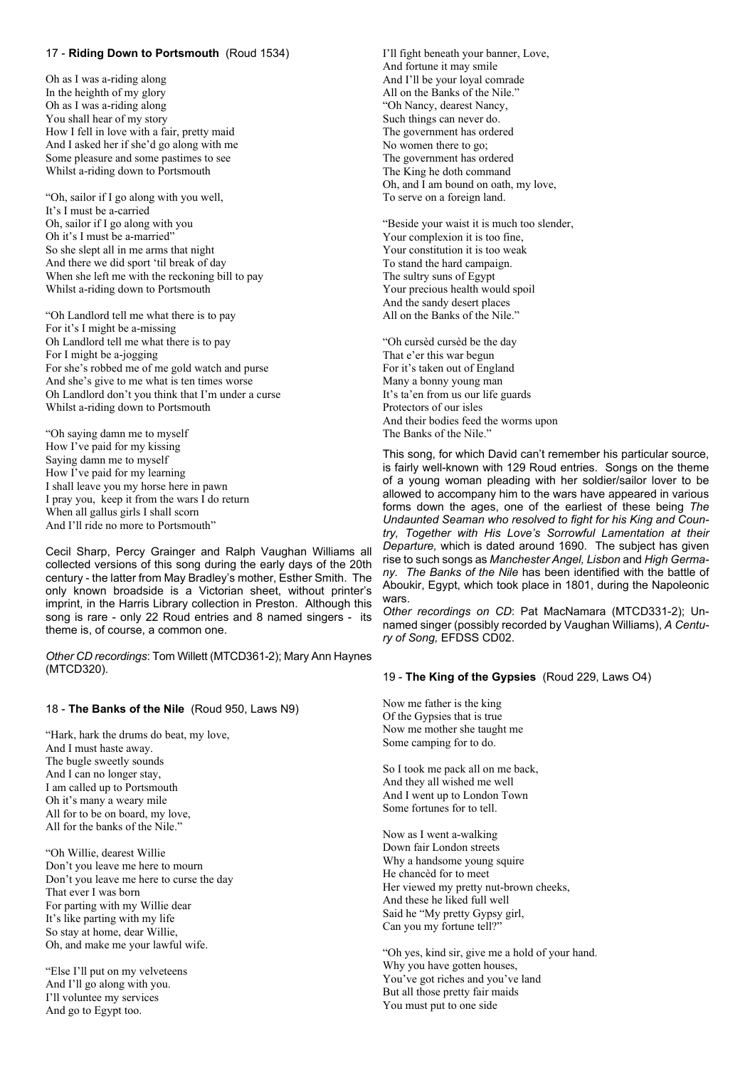# 17 - **Riding Down to Portsmouth** (Roud 1534)

Oh as I was a-riding along In the heighth of my glory Oh as I was a-riding along You shall hear of my story How I fell in love with a fair, pretty maid And I asked her if she'd go along with me Some pleasure and some pastimes to see Whilst a-riding down to Portsmouth

"Oh, sailor if I go along with you well, It's I must be a-carried Oh, sailor if I go along with you Oh it's I must be a-married" So she slept all in me arms that night And there we did sport 'til break of day When she left me with the reckoning bill to pay Whilst a-riding down to Portsmouth

"Oh Landlord tell me what there is to pay For it's I might be a-missing Oh Landlord tell me what there is to pay For I might be a-jogging For she's robbed me of me gold watch and purse And she's give to me what is ten times worse Oh Landlord don't you think that I'm under a curse Whilst a-riding down to Portsmouth

"Oh saying damn me to myself How I've paid for my kissing Saying damn me to myself How I've paid for my learning I shall leave you my horse here in pawn I pray you, keep it from the wars I do return When all gallus girls I shall scorn And I'll ride no more to Portsmouth"

Cecil Sharp, Percy Grainger and Ralph Vaughan Williams all collected versions of this song during the early days of the 20th century - the latter from May Bradley's mother, Esther Smith. The only known broadside is a Victorian sheet, without printer's imprint, in the Harris Library collection in Preston. Although this song is rare - only 22 Roud entries and 8 named singers - its theme is, of course, a common one.

*Other CD recordings*: Tom Willett (MTCD361-2); Mary Ann Haynes (MTCD320).

#### 18 - **The Banks of the Nile** (Roud 950, Laws N9)

"Hark, hark the drums do beat, my love, And I must haste away. The bugle sweetly sounds And I can no longer stay, I am called up to Portsmouth Oh it's many a weary mile All for to be on board, my love, All for the banks of the Nile."

"Oh Willie, dearest Willie Don't you leave me here to mourn Don't you leave me here to curse the day That ever I was born For parting with my Willie dear It's like parting with my life So stay at home, dear Willie, Oh, and make me your lawful wife.

"Else I'll put on my velveteens And I'll go along with you. I'll voluntee my services And go to Egypt too.

I'll fight beneath your banner, Love, And fortune it may smile And I'll be your loyal comrade All on the Banks of the Nile." "Oh Nancy, dearest Nancy, Such things can never do. The government has ordered No women there to go; The government has ordered The King he doth command Oh, and I am bound on oath, my love, To serve on a foreign land.

"Beside your waist it is much too slender, Your complexion it is too fine, Your constitution it is too weak To stand the hard campaign. The sultry suns of Egypt Your precious health would spoil And the sandy desert places All on the Banks of the Nile."

"Oh cursèd cursèd be the day That e'er this war begun For it's taken out of England Many a bonny young man It's ta'en from us our life guards Protectors of our isles And their bodies feed the worms upon The Banks of the Nile."

This song, for which David can't remember his particular source, is fairly well-known with 129 Roud entries. Songs on the theme of a young woman pleading with her soldier/sailor lover to be allowed to accompany him to the wars have appeared in various forms down the ages, one of the earliest of these being *The Undaunted Seaman who resolved to fight for his King and Country, Together with His Love's Sorrowful Lamentation at their Departure,* which is dated around 1690. The subject has given rise to such songs as *Manchester Angel, Lisbon* and *High Germany. The Banks of the Nile* has been identified with the battle of Aboukir, Egypt, which took place in 1801, during the Napoleonic wars.

*Other recordings on CD*: Pat MacNamara (MTCD331-2); Unnamed singer (possibly recorded by Vaughan Williams), *A Century of Song,* EFDSS CD02.

# 19 - **The King of the Gypsies** (Roud 229, Laws O4)

Now me father is the king Of the Gypsies that is true Now me mother she taught me Some camping for to do.

So I took me pack all on me back, And they all wished me well And I went up to London Town Some fortunes for to tell.

Now as I went a-walking Down fair London streets Why a handsome young squire He chancèd for to meet Her viewed my pretty nut-brown cheeks, And these he liked full well Said he "My pretty Gypsy girl, Can you my fortune tell?"

"Oh yes, kind sir, give me a hold of your hand. Why you have gotten houses, You've got riches and you've land But all those pretty fair maids You must put to one side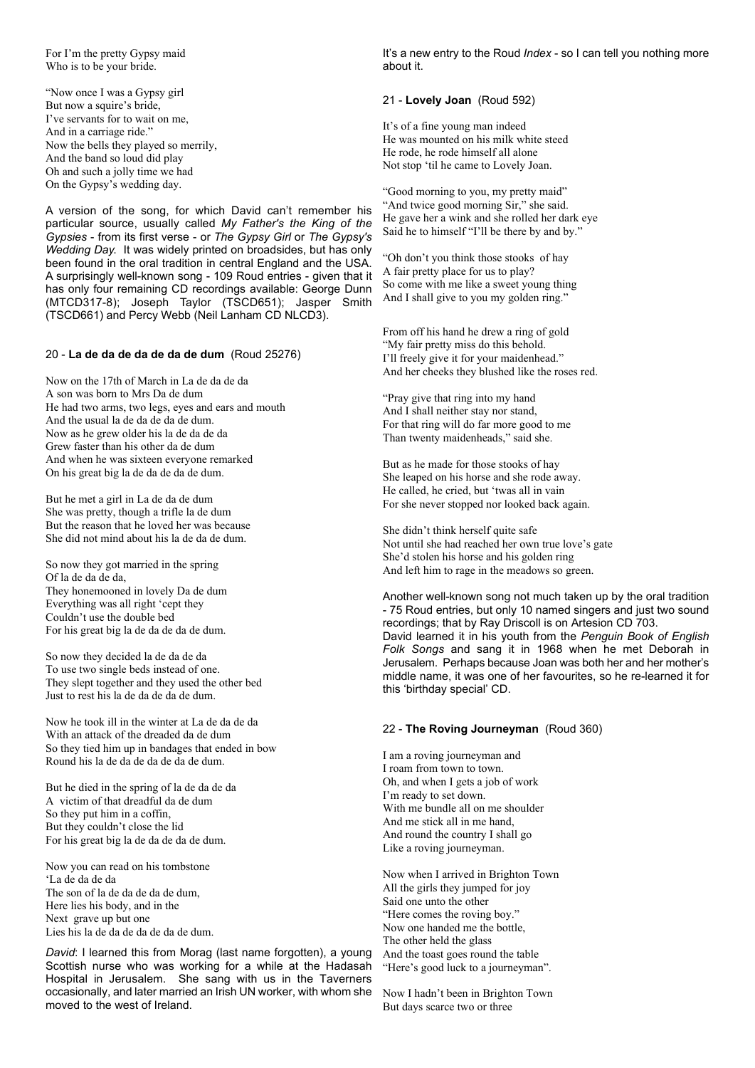For I'm the pretty Gypsy maid Who is to be your bride.

"Now once I was a Gypsy girl But now a squire's bride, I've servants for to wait on me, And in a carriage ride." Now the bells they played so merrily, And the band so loud did play Oh and such a jolly time we had On the Gypsy's wedding day.

A version of the song, for which David can't remember his particular source, usually called *My Father's the King of the Gypsies* - from its first verse - or *The Gypsy Girl* or *The Gypsy's Wedding Day*. It was widely printed on broadsides, but has only been found in the oral tradition in central England and the USA. A surprisingly well-known song - 109 Roud entries - given that it has only four remaining CD recordings available: George Dunn (MTCD317-8); Joseph Taylor (TSCD651); Jasper Smith (TSCD661) and Percy Webb (Neil Lanham CD NLCD3).

# 20 - **La de da de da de da de dum** (Roud 25276)

Now on the 17th of March in La de da de da A son was born to Mrs Da de dum He had two arms, two legs, eyes and ears and mouth And the usual la de da de da de dum. Now as he grew older his la de da de da Grew faster than his other da de dum And when he was sixteen everyone remarked On his great big la de da de da de dum.

But he met a girl in La de da de dum She was pretty, though a trifle la de dum But the reason that he loved her was because She did not mind about his la de da de dum.

So now they got married in the spring Of la de da de da, They honemooned in lovely Da de dum Everything was all right 'cept they Couldn't use the double bed For his great big la de da de da de dum.

So now they decided la de da de da To use two single beds instead of one. They slept together and they used the other bed Just to rest his la de da de da de dum.

Now he took ill in the winter at La de da de da With an attack of the dreaded da de dum So they tied him up in bandages that ended in bow Round his la de da de da de da de dum.

But he died in the spring of la de da de da A victim of that dreadful da de dum So they put him in a coffin, But they couldn't close the lid For his great big la de da de da de dum.

Now you can read on his tombstone 'La de da de da The son of la de da de da de dum, Here lies his body, and in the Next grave up but one Lies his la de da de da de da de dum.

*David*: I learned this from Morag (last name forgotten), a young Scottish nurse who was working for a while at the Hadasah Hospital in Jerusalem. She sang with us in the Taverners occasionally, and later married an Irish UN worker, with whom she moved to the west of Ireland.

It's a new entry to the Roud *Index* - so I can tell you nothing more about it.

# 21 - **Lovely Joan** (Roud 592)

It's of a fine young man indeed He was mounted on his milk white steed He rode, he rode himself all alone Not stop 'til he came to Lovely Joan.

"Good morning to you, my pretty maid" "And twice good morning Sir," she said. He gave her a wink and she rolled her dark eye Said he to himself "I'll be there by and by."

"Oh don't you think those stooks of hay A fair pretty place for us to play? So come with me like a sweet young thing And I shall give to you my golden ring."

From off his hand he drew a ring of gold "My fair pretty miss do this behold. I'll freely give it for your maidenhead." And her cheeks they blushed like the roses red.

"Pray give that ring into my hand And I shall neither stay nor stand, For that ring will do far more good to me Than twenty maidenheads," said she.

But as he made for those stooks of hay She leaped on his horse and she rode away. He called, he cried, but 'twas all in vain For she never stopped nor looked back again.

She didn't think herself quite safe Not until she had reached her own true love's gate She'd stolen his horse and his golden ring And left him to rage in the meadows so green.

Another well-known song not much taken up by the oral tradition - 75 Roud entries, but only 10 named singers and just two sound recordings; that by Ray Driscoll is on Artesion CD 703. David learned it in his youth from the *Penguin Book of English Folk Songs* and sang it in 1968 when he met Deborah in Jerusalem. Perhaps because Joan was both her and her mother's middle name, it was one of her favourites, so he re-learned it for this 'birthday special' CD.

#### 22 - **The Roving Journeyman** (Roud 360)

I am a roving journeyman and I roam from town to town. Oh, and when I gets a job of work I'm ready to set down. With me bundle all on me shoulder And me stick all in me hand, And round the country I shall go Like a roving journeyman.

Now when I arrived in Brighton Town All the girls they jumped for joy Said one unto the other "Here comes the roving boy." Now one handed me the bottle, The other held the glass And the toast goes round the table "Here's good luck to a journeyman".

Now I hadn't been in Brighton Town But days scarce two or three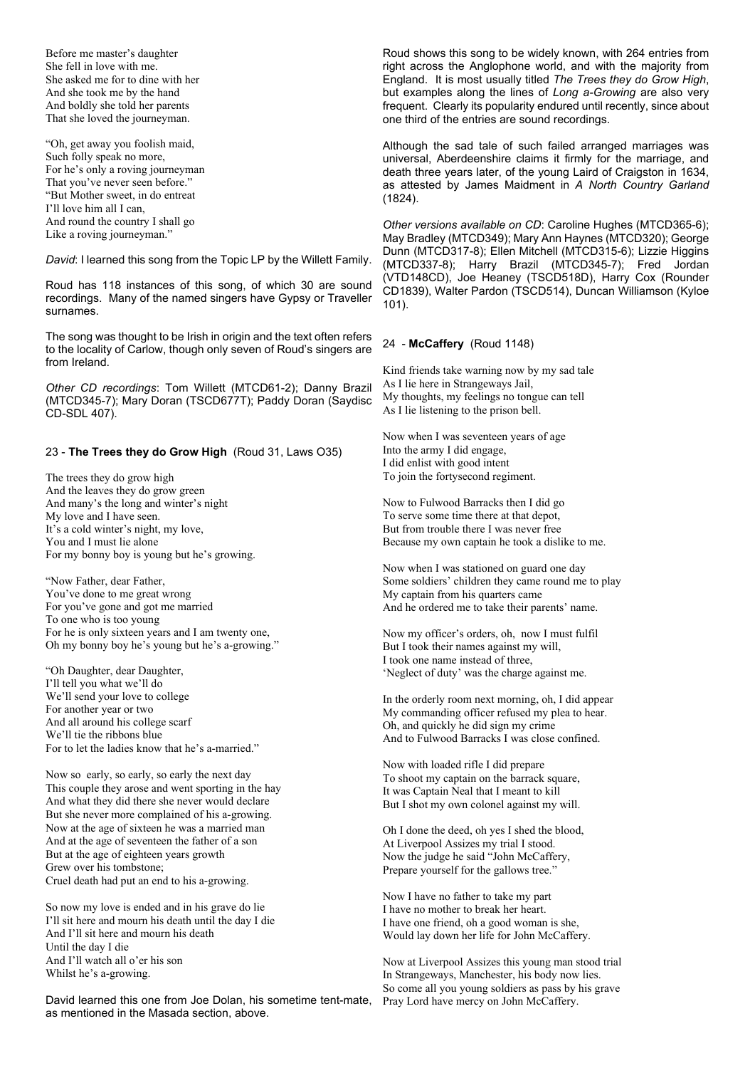Before me master's daughter She fell in love with me. She asked me for to dine with her And she took me by the hand And boldly she told her parents That she loved the journeyman.

"Oh, get away you foolish maid, Such folly speak no more, For he's only a roving journeyman That you've never seen before." "But Mother sweet, in do entreat I'll love him all I can, And round the country I shall go Like a roving journeyman."

*David*: I learned this song from the Topic LP by the Willett Family.

Roud has 118 instances of this song, of which 30 are sound recordings. Many of the named singers have Gypsy or Traveller surnames.

The song was thought to be Irish in origin and the text often refers to the locality of Carlow, though only seven of Roud's singers are from Ireland.

*Other CD recordings*: Tom Willett (MTCD61-2); Danny Brazil (MTCD345-7); Mary Doran (TSCD677T); Paddy Doran (Saydisc CD-SDL 407).

# 23 - **The Trees they do Grow High** (Roud 31, Laws O35)

The trees they do grow high And the leaves they do grow green And many's the long and winter's night My love and I have seen. It's a cold winter's night, my love, You and I must lie alone For my bonny boy is young but he's growing.

"Now Father, dear Father, You've done to me great wrong For you've gone and got me married To one who is too young For he is only sixteen years and I am twenty one, Oh my bonny boy he's young but he's a-growing."

"Oh Daughter, dear Daughter, I'll tell you what we'll do We'll send your love to college For another year or two And all around his college scarf We'll tie the ribbons blue For to let the ladies know that he's a-married."

Now so early, so early, so early the next day This couple they arose and went sporting in the hay And what they did there she never would declare But she never more complained of his a-growing. Now at the age of sixteen he was a married man And at the age of seventeen the father of a son But at the age of eighteen years growth Grew over his tombstone; Cruel death had put an end to his a-growing.

So now my love is ended and in his grave do lie I'll sit here and mourn his death until the day I die And I'll sit here and mourn his death Until the day I die And I'll watch all o'er his son Whilst he's a-growing.

David learned this one from Joe Dolan, his sometime tent-mate, as mentioned in the Masada section, above.

Roud shows this song to be widely known, with 264 entries from right across the Anglophone world, and with the majority from England. It is most usually titled *The Trees they do Grow High*, but examples along the lines of *Long a-Growing* are also very frequent. Clearly its popularity endured until recently, since about one third of the entries are sound recordings.

Although the sad tale of such failed arranged marriages was universal, Aberdeenshire claims it firmly for the marriage, and death three years later, of the young Laird of Craigston in 1634, as attested by James Maidment in *A North Country Garland* (1824).

*Other versions available on CD*: Caroline Hughes (MTCD365-6); May Bradley (MTCD349); Mary Ann Haynes (MTCD320); George Dunn (MTCD317-8); Ellen Mitchell (MTCD315-6); Lizzie Higgins (MTCD337-8); Harry Brazil (MTCD345-7); Fred Jordan (VTD148CD), Joe Heaney (TSCD518D), Harry Cox (Rounder CD1839), Walter Pardon (TSCD514), Duncan Williamson (Kyloe 101).

#### 24 - **McCaffery** (Roud 1148)

Kind friends take warning now by my sad tale As I lie here in Strangeways Jail, My thoughts, my feelings no tongue can tell As I lie listening to the prison bell.

Now when I was seventeen years of age Into the army I did engage, I did enlist with good intent To join the fortysecond regiment.

Now to Fulwood Barracks then I did go To serve some time there at that depot, But from trouble there I was never free Because my own captain he took a dislike to me.

Now when I was stationed on guard one day Some soldiers' children they came round me to play My captain from his quarters came And he ordered me to take their parents' name.

Now my officer's orders, oh, now I must fulfil But I took their names against my will, I took one name instead of three, 'Neglect of duty' was the charge against me.

In the orderly room next morning, oh, I did appear My commanding officer refused my plea to hear. Oh, and quickly he did sign my crime And to Fulwood Barracks I was close confined.

Now with loaded rifle I did prepare To shoot my captain on the barrack square, It was Captain Neal that I meant to kill But I shot my own colonel against my will.

Oh I done the deed, oh yes I shed the blood, At Liverpool Assizes my trial I stood. Now the judge he said "John McCaffery, Prepare yourself for the gallows tree."

Now I have no father to take my part I have no mother to break her heart. I have one friend, oh a good woman is she, Would lay down her life for John McCaffery.

Now at Liverpool Assizes this young man stood trial In Strangeways, Manchester, his body now lies. So come all you young soldiers as pass by his grave Pray Lord have mercy on John McCaffery.